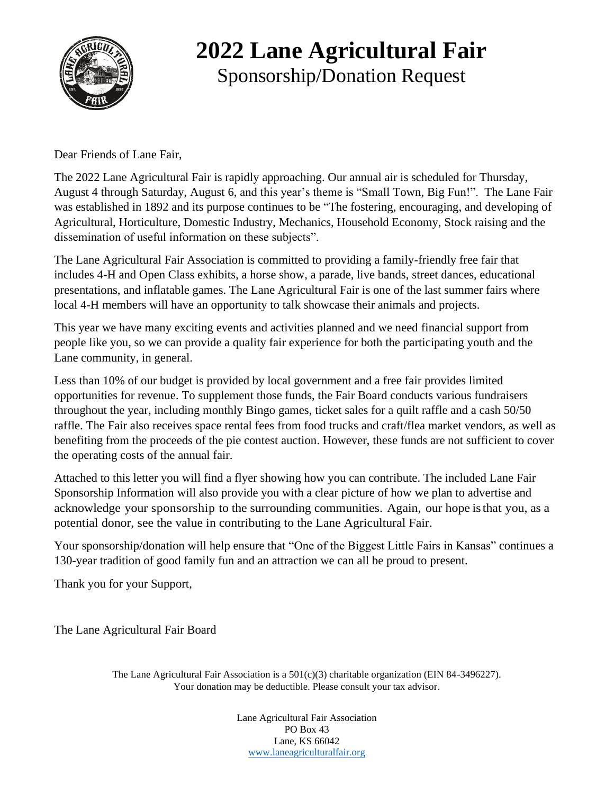

### **2022 Lane Agricultural Fair** Sponsorship/Donation Request

Dear Friends of Lane Fair,

The 2022 Lane Agricultural Fair is rapidly approaching. Our annual air is scheduled for Thursday, August 4 through Saturday, August 6, and this year's theme is "Small Town, Big Fun!". The Lane Fair was established in 1892 and its purpose continues to be "The fostering, encouraging, and developing of Agricultural, Horticulture, Domestic Industry, Mechanics, Household Economy, Stock raising and the dissemination of useful information on these subjects".

The Lane Agricultural Fair Association is committed to providing a family-friendly free fair that includes 4-H and Open Class exhibits, a horse show, a parade, live bands, street dances, educational presentations, and inflatable games. The Lane Agricultural Fair is one of the last summer fairs where local 4-H members will have an opportunity to talk showcase their animals and projects.

This year we have many exciting events and activities planned and we need financial support from people like you, so we can provide a quality fair experience for both the participating youth and the Lane community, in general.

Less than 10% of our budget is provided by local government and a free fair provides limited opportunities for revenue. To supplement those funds, the Fair Board conducts various fundraisers throughout the year, including monthly Bingo games, ticket sales for a quilt raffle and a cash 50/50 raffle. The Fair also receives space rental fees from food trucks and craft/flea market vendors, as well as benefiting from the proceeds of the pie contest auction. However, these funds are not sufficient to cover the operating costs of the annual fair.

Attached to this letter you will find a flyer showing how you can contribute. The included Lane Fair Sponsorship Information will also provide you with a clear picture of how we plan to advertise and acknowledge your sponsorship to the surrounding communities. Again, our hope isthat you, as a potential donor, see the value in contributing to the Lane Agricultural Fair.

Your sponsorship/donation will help ensure that "One of the Biggest Little Fairs in Kansas" continues a 130-year tradition of good family fun and an attraction we can all be proud to present.

Thank you for your Support,

The Lane Agricultural Fair Board

The Lane Agricultural Fair Association is a  $501(c)(3)$  charitable organization (EIN 84-3496227). Your donation may be deductible. Please consult your tax advisor.

> Lane Agricultural Fair Association PO Box 43 Lane, KS 66042 [www.laneagriculturalfair.org](file:///C:/Users/jofle/Downloads/www.laneagriculturalfair.org)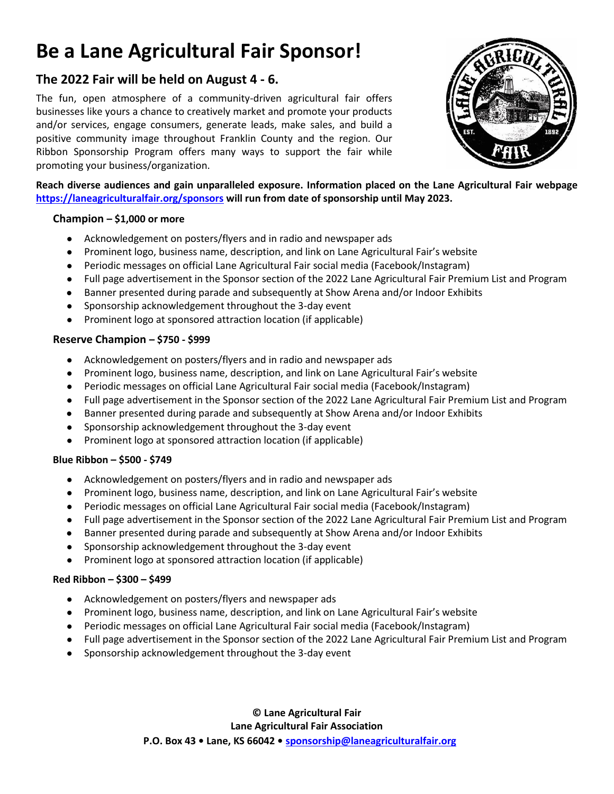## **Be a Lane Agricultural Fair Sponsor!**

### **The 2022 Fair will be held on August 4 - 6.**

The fun, open atmosphere of a community-driven agricultural fair offers businesses like yours a chance to creatively market and promote your products and/or services, engage consumers, generate leads, make sales, and build a positive community image throughout Franklin County and the region. Our Ribbon Sponsorship Program offers many ways to support the fair while promoting your business/organization.



**Reach diverse audiences and gain unparalleled exposure. Information placed on the Lane Agricultural Fair webpage <https://laneagriculturalfair.org/sponsors> will run from date of sponsorship until May 2023.**

#### **Champion – \$1,000 or more**

- Acknowledgement on posters/flyers and in radio and newspaper ads
- Prominent logo, business name, description, and link on Lane Agricultural Fair's website
- Periodic messages on official Lane Agricultural Fair social media (Facebook/Instagram)
- Full page advertisement in the Sponsor section of the 2022 Lane Agricultural Fair Premium List and Program
- Banner presented during parade and subsequently at Show Arena and/or Indoor Exhibits
- Sponsorship acknowledgement throughout the 3-day event
- Prominent logo at sponsored attraction location (if applicable)

#### **Reserve Champion – \$750 - \$999**

- Acknowledgement on posters/flyers and in radio and newspaper ads
- Prominent logo, business name, description, and link on Lane Agricultural Fair's website
- Periodic messages on official Lane Agricultural Fair social media (Facebook/Instagram)
- Full page advertisement in the Sponsor section of the 2022 Lane Agricultural Fair Premium List and Program
- Banner presented during parade and subsequently at Show Arena and/or Indoor Exhibits
- Sponsorship acknowledgement throughout the 3-day event
- Prominent logo at sponsored attraction location (if applicable)

#### **Blue Ribbon – \$500 - \$749**

- Acknowledgement on posters/flyers and in radio and newspaper ads
- Prominent logo, business name, description, and link on Lane Agricultural Fair's website
- Periodic messages on official Lane Agricultural Fair social media (Facebook/Instagram)
- Full page advertisement in the Sponsor section of the 2022 Lane Agricultural Fair Premium List and Program
- Banner presented during parade and subsequently at Show Arena and/or Indoor Exhibits
- Sponsorship acknowledgement throughout the 3-day event
- Prominent logo at sponsored attraction location (if applicable)

#### **Red Ribbon – \$300 – \$499**

- Acknowledgement on posters/flyers and newspaper ads
- Prominent logo, business name, description, and link on Lane Agricultural Fair's website
- Periodic messages on official Lane Agricultural Fair social media (Facebook/Instagram)
- Full page advertisement in the Sponsor section of the 2022 Lane Agricultural Fair Premium List and Program
- Sponsorship acknowledgement throughout the 3-day event

**© Lane Agricultural Fair Lane Agricultural Fair Association P.O. Box 43 • Lane, KS 66042 • [sponsorship@laneagriculturalfair.org](about:blank)**